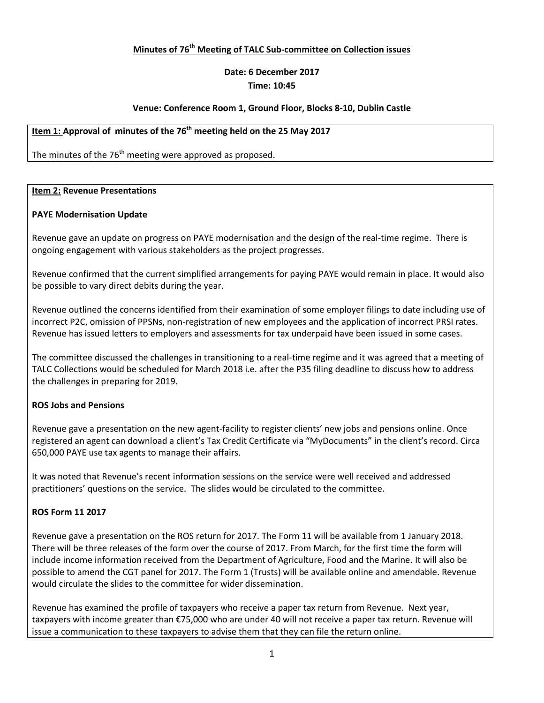### **Minutes of 76th Meeting of TALC Sub-committee on Collection issues**

# **Date: 6 December 2017**

### **Time: 10:45**

### **Venue: Conference Room 1, Ground Floor, Blocks 8-10, Dublin Castle**

### **Item 1: Approval of minutes of the 76th meeting held on the 25 May 2017**

The minutes of the 76<sup>th</sup> meeting were approved as proposed.

#### **Item 2: Revenue Presentations**

#### **PAYE Modernisation Update**

Revenue gave an update on progress on PAYE modernisation and the design of the real-time regime. There is ongoing engagement with various stakeholders as the project progresses.

Revenue confirmed that the current simplified arrangements for paying PAYE would remain in place. It would also be possible to vary direct debits during the year.

Revenue outlined the concerns identified from their examination of some employer filings to date including use of incorrect P2C, omission of PPSNs, non-registration of new employees and the application of incorrect PRSI rates. Revenue has issued letters to employers and assessments for tax underpaid have been issued in some cases.

The committee discussed the challenges in transitioning to a real-time regime and it was agreed that a meeting of TALC Collections would be scheduled for March 2018 i.e. after the P35 filing deadline to discuss how to address the challenges in preparing for 2019.

#### **ROS Jobs and Pensions**

Revenue gave a presentation on the new agent-facility to register clients' new jobs and pensions online. Once registered an agent can download a client's Tax Credit Certificate via "MyDocuments" in the client's record. Circa 650,000 PAYE use tax agents to manage their affairs.

It was noted that Revenue's recent information sessions on the service were well received and addressed practitioners' questions on the service. The slides would be circulated to the committee.

#### **ROS Form 11 2017**

Revenue gave a presentation on the ROS return for 2017. The Form 11 will be available from 1 January 2018. There will be three releases of the form over the course of 2017. From March, for the first time the form will include income information received from the Department of Agriculture, Food and the Marine. It will also be possible to amend the CGT panel for 2017. The Form 1 (Trusts) will be available online and amendable. Revenue would circulate the slides to the committee for wider dissemination.

Revenue has examined the profile of taxpayers who receive a paper tax return from Revenue. Next year, taxpayers with income greater than €75,000 who are under 40 will not receive a paper tax return. Revenue will issue a communication to these taxpayers to advise them that they can file the return online.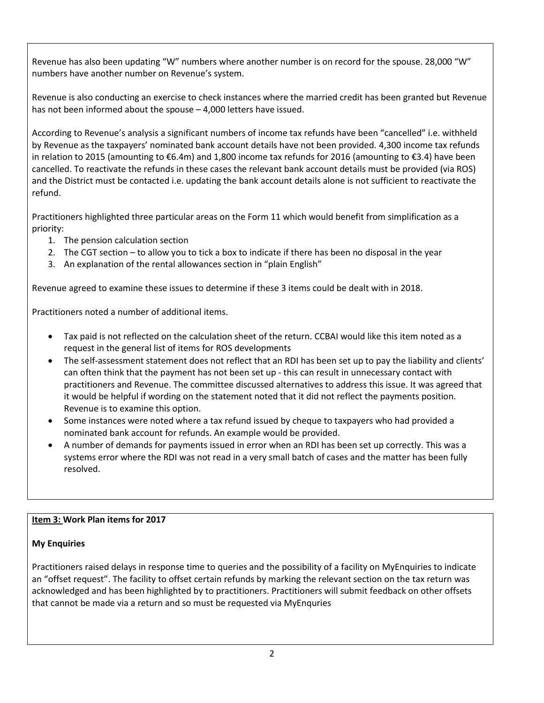Revenue has also been updating "W" numbers where another number is on record for the spouse. 28,000 "W" numbers have another number on Revenue's system.

Revenue is also conducting an exercise to check instances where the married credit has been granted but Revenue has not been informed about the spouse – 4,000 letters have issued.

According to Revenue's analysis a significant numbers of income tax refunds have been "cancelled" i.e. withheld by Revenue as the taxpayers' nominated bank account details have not been provided. 4,300 income tax refunds in relation to 2015 (amounting to €6.4m) and 1,800 income tax refunds for 2016 (amounting to €3.4) have been cancelled. To reactivate the refunds in these cases the relevant bank account details must be provided (via ROS) and the District must be contacted i.e. updating the bank account details alone is not sufficient to reactivate the refund.

Practitioners highlighted three particular areas on the Form 11 which would benefit from simplification as a priority:

- 1. The pension calculation section
- 2. The CGT section to allow you to tick a box to indicate if there has been no disposal in the year
- 3. An explanation of the rental allowances section in "plain English"

Revenue agreed to examine these issues to determine if these 3 items could be dealt with in 2018.

Practitioners noted a number of additional items.

- Tax paid is not reflected on the calculation sheet of the return. CCBAI would like this item noted as a request in the general list of items for ROS developments
- The self-assessment statement does not reflect that an RDI has been set up to pay the liability and clients' can often think that the payment has not been set up - this can result in unnecessary contact with practitioners and Revenue. The committee discussed alternatives to address this issue. It was agreed that it would be helpful if wording on the statement noted that it did not reflect the payments position. Revenue is to examine this option.
- Some instances were noted where a tax refund issued by cheque to taxpayers who had provided a nominated bank account for refunds. An example would be provided.
- A number of demands for payments issued in error when an RDI has been set up correctly. This was a systems error where the RDI was not read in a very small batch of cases and the matter has been fully resolved.

# **Item 3: Work Plan items for 2017**

# **My Enquiries**

Practitioners raised delays in response time to queries and the possibility of a facility on MyEnquiries to indicate an "offset request". The facility to offset certain refunds by marking the relevant section on the tax return was acknowledged and has been highlighted by to practitioners. Practitioners will submit feedback on other offsets that cannot be made via a return and so must be requested via MyEnquries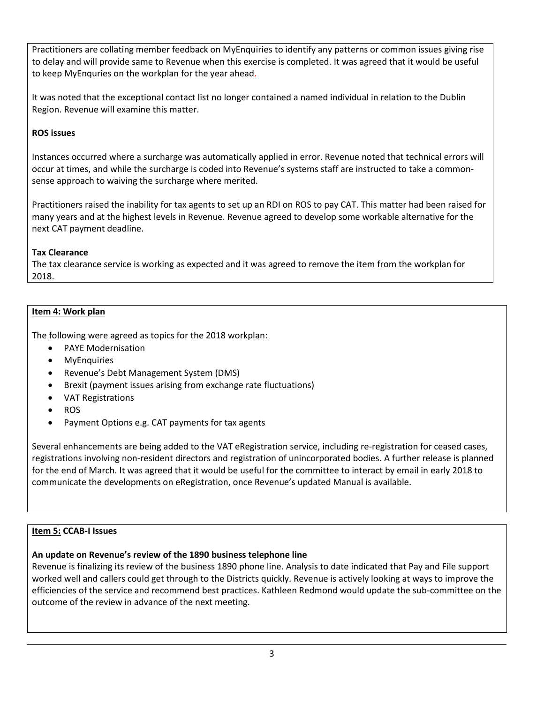Practitioners are collating member feedback on MyEnquiries to identify any patterns or common issues giving rise to delay and will provide same to Revenue when this exercise is completed. It was agreed that it would be useful to keep MyEnquries on the workplan for the year ahead.

It was noted that the exceptional contact list no longer contained a named individual in relation to the Dublin Region. Revenue will examine this matter.

# **ROS issues**

Instances occurred where a surcharge was automatically applied in error. Revenue noted that technical errors will occur at times, and while the surcharge is coded into Revenue's systems staff are instructed to take a commonsense approach to waiving the surcharge where merited.

Practitioners raised the inability for tax agents to set up an RDI on ROS to pay CAT. This matter had been raised for many years and at the highest levels in Revenue. Revenue agreed to develop some workable alternative for the next CAT payment deadline.

### **Tax Clearance**

The tax clearance service is working as expected and it was agreed to remove the item from the workplan for 2018.

### **Item 4: Work plan**

The following were agreed as topics for the 2018 workplan:

- PAYE Modernisation
- MyEnquiries
- Revenue's Debt Management System (DMS)
- Brexit (payment issues arising from exchange rate fluctuations)
- VAT Registrations
- ROS
- Payment Options e.g. CAT payments for tax agents

Several enhancements are being added to the VAT eRegistration service, including re-registration for ceased cases, registrations involving non-resident directors and registration of unincorporated bodies. A further release is planned for the end of March. It was agreed that it would be useful for the committee to interact by email in early 2018 to communicate the developments on eRegistration, once Revenue's updated Manual is available.

# **Item 5: CCAB-I Issues**

# **An update on Revenue's review of the 1890 business telephone line**

Revenue is finalizing its review of the business 1890 phone line. Analysis to date indicated that Pay and File support worked well and callers could get through to the Districts quickly. Revenue is actively looking at ways to improve the efficiencies of the service and recommend best practices. Kathleen Redmond would update the sub-committee on the outcome of the review in advance of the next meeting.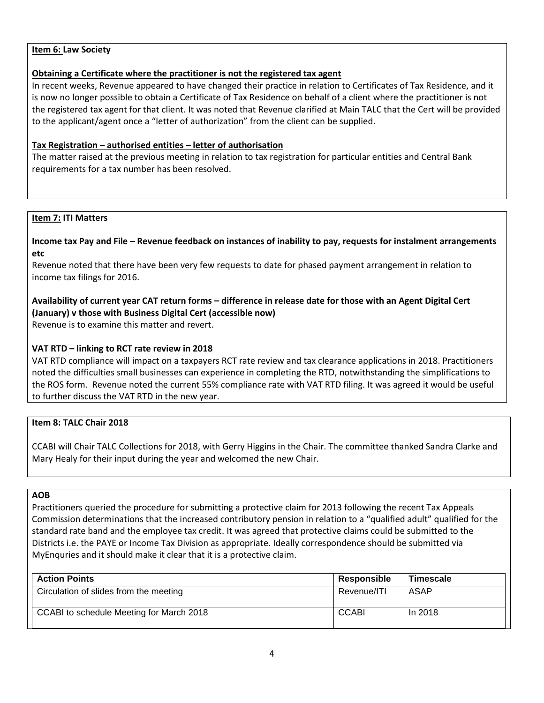### **Item 6: Law Society**

### **Obtaining a Certificate where the practitioner is not the registered tax agent**

In recent weeks, Revenue appeared to have changed their practice in relation to Certificates of Tax Residence, and it is now no longer possible to obtain a Certificate of Tax Residence on behalf of a client where the practitioner is not the registered tax agent for that client. It was noted that Revenue clarified at Main TALC that the Cert will be provided to the applicant/agent once a "letter of authorization" from the client can be supplied.

### **Tax Registration – authorised entities – letter of authorisation**

The matter raised at the previous meeting in relation to tax registration for particular entities and Central Bank requirements for a tax number has been resolved.

#### **Item 7: ITI Matters**

**Income tax Pay and File – Revenue feedback on instances of inability to pay, requests for instalment arrangements etc**

Revenue noted that there have been very few requests to date for phased payment arrangement in relation to income tax filings for 2016.

# **Availability of current year CAT return forms – difference in release date for those with an Agent Digital Cert (January) v those with Business Digital Cert (accessible now)**

Revenue is to examine this matter and revert.

### **VAT RTD – linking to RCT rate review in 2018**

VAT RTD compliance will impact on a taxpayers RCT rate review and tax clearance applications in 2018. Practitioners noted the difficulties small businesses can experience in completing the RTD, notwithstanding the simplifications to the ROS form. Revenue noted the current 55% compliance rate with VAT RTD filing. It was agreed it would be useful to further discuss the VAT RTD in the new year.

#### **Item 8: TALC Chair 2018**

CCABI will Chair TALC Collections for 2018, with Gerry Higgins in the Chair. The committee thanked Sandra Clarke and Mary Healy for their input during the year and welcomed the new Chair.

#### **AOB**

Practitioners queried the procedure for submitting a protective claim for 2013 following the recent Tax Appeals Commission determinations that the increased contributory pension in relation to a "qualified adult" qualified for the standard rate band and the employee tax credit. It was agreed that protective claims could be submitted to the Districts i.e. the PAYE or Income Tax Division as appropriate. Ideally correspondence should be submitted via MyEnquries and it should make it clear that it is a protective claim.

| <b>Action Points</b>                     | Responsible  | <b>Timescale</b> |
|------------------------------------------|--------------|------------------|
| Circulation of slides from the meeting   | Revenue/ITI  | ASAP             |
| CCABI to schedule Meeting for March 2018 | <b>CCABI</b> | In 2018          |